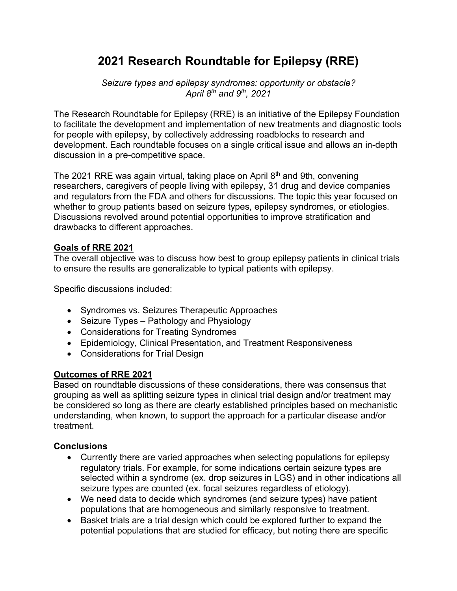## **2021 Research Roundtable for Epilepsy (RRE)**

*Seizure types and epilepsy syndromes: opportunity or obstacle? April 8th and 9th, 2021*

The Research Roundtable for Epilepsy (RRE) is an initiative of the Epilepsy Foundation to facilitate the development and implementation of new treatments and diagnostic tools for people with epilepsy, by collectively addressing roadblocks to research and development. Each roundtable focuses on a single critical issue and allows an in-depth discussion in a pre-competitive space.

The 2021 RRE was again virtual, taking place on April 8<sup>th</sup> and 9th, convening researchers, caregivers of people living with epilepsy, 31 drug and device companies and regulators from the FDA and others for discussions. The topic this year focused on whether to group patients based on seizure types, epilepsy syndromes, or etiologies. Discussions revolved around potential opportunities to improve stratification and drawbacks to different approaches.

## **Goals of RRE 2021**

The overall objective was to discuss how best to group epilepsy patients in clinical trials to ensure the results are generalizable to typical patients with epilepsy.

Specific discussions included:

- Syndromes vs. Seizures Therapeutic Approaches
- Seizure Types Pathology and Physiology
- Considerations for Treating Syndromes
- Epidemiology, Clinical Presentation, and Treatment Responsiveness
- Considerations for Trial Design

## **Outcomes of RRE 2021**

Based on roundtable discussions of these considerations, there was consensus that grouping as well as splitting seizure types in clinical trial design and/or treatment may be considered so long as there are clearly established principles based on mechanistic understanding, when known, to support the approach for a particular disease and/or treatment.

## **Conclusions**

- Currently there are varied approaches when selecting populations for epilepsy regulatory trials. For example, for some indications certain seizure types are selected within a syndrome (ex. drop seizures in LGS) and in other indications all seizure types are counted (ex. focal seizures regardless of etiology).
- We need data to decide which syndromes (and seizure types) have patient populations that are homogeneous and similarly responsive to treatment.
- Basket trials are a trial design which could be explored further to expand the potential populations that are studied for efficacy, but noting there are specific